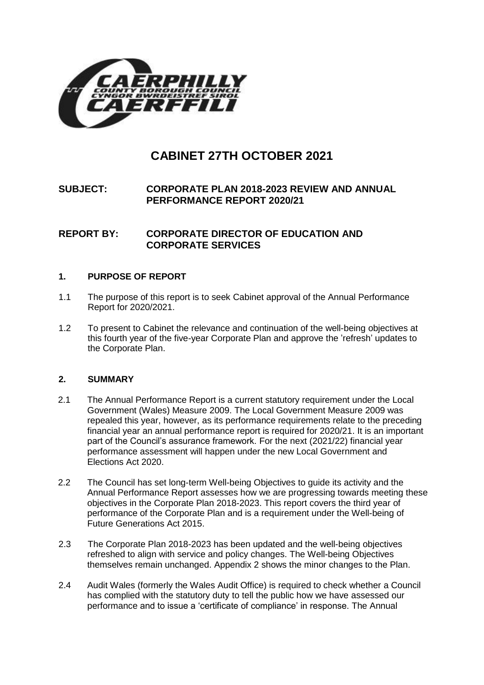

# **CABINET 27TH OCTOBER 2021**

# **SUBJECT: CORPORATE PLAN 2018-2023 REVIEW AND ANNUAL PERFORMANCE REPORT 2020/21**

## **REPORT BY: CORPORATE DIRECTOR OF EDUCATION AND CORPORATE SERVICES**

#### **1. PURPOSE OF REPORT**

- 1.1 The purpose of this report is to seek Cabinet approval of the Annual Performance Report for 2020/2021.
- 1.2 To present to Cabinet the relevance and continuation of the well-being objectives at this fourth year of the five-year Corporate Plan and approve the 'refresh' updates to the Corporate Plan.

#### **2. SUMMARY**

- 2.1 The Annual Performance Report is a current statutory requirement under the Local Government (Wales) Measure 2009. The Local Government Measure 2009 was repealed this year, however, as its performance requirements relate to the preceding financial year an annual performance report is required for 2020/21. It is an important part of the Council's assurance framework. For the next (2021/22) financial year performance assessment will happen under the new Local Government and Elections Act 2020.
- 2.2 The Council has set long-term Well-being Objectives to guide its activity and the Annual Performance Report assesses how we are progressing towards meeting these objectives in the Corporate Plan 2018-2023. This report covers the third year of performance of the Corporate Plan and is a requirement under the Well-being of Future Generations Act 2015.
- 2.3 The Corporate Plan 2018-2023 has been updated and the well-being objectives refreshed to align with service and policy changes. The Well-being Objectives themselves remain unchanged. Appendix 2 shows the minor changes to the Plan.
- 2.4 Audit Wales (formerly the Wales Audit Office) is required to check whether a Council has complied with the statutory duty to tell the public how we have assessed our performance and to issue a 'certificate of compliance' in response. The Annual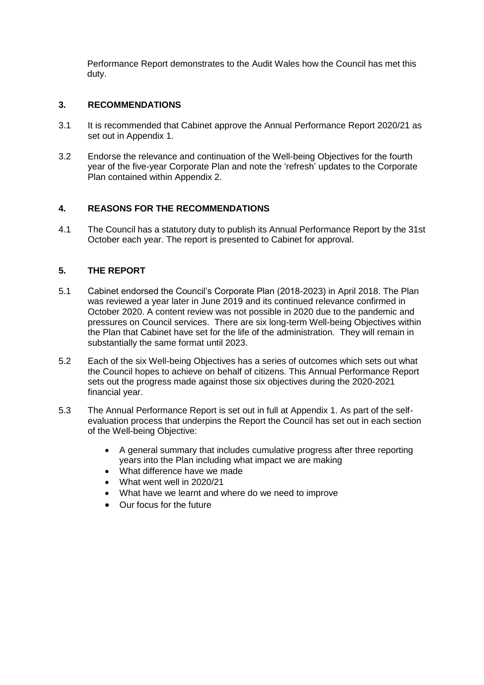Performance Report demonstrates to the Audit Wales how the Council has met this duty.

## **3. RECOMMENDATIONS**

- 3.1 It is recommended that Cabinet approve the Annual Performance Report 2020/21 as set out in Appendix 1.
- 3.2 Endorse the relevance and continuation of the Well-being Objectives for the fourth year of the five-year Corporate Plan and note the 'refresh' updates to the Corporate Plan contained within Appendix 2.

#### **4. REASONS FOR THE RECOMMENDATIONS**

4.1 The Council has a statutory duty to publish its Annual Performance Report by the 31st October each year. The report is presented to Cabinet for approval.

## **5. THE REPORT**

- 5.1 Cabinet endorsed the Council's Corporate Plan (2018-2023) in April 2018. The Plan was reviewed a year later in June 2019 and its continued relevance confirmed in October 2020. A content review was not possible in 2020 due to the pandemic and pressures on Council services. There are six long-term Well-being Objectives within the Plan that Cabinet have set for the life of the administration. They will remain in substantially the same format until 2023.
- 5.2 Each of the six Well-being Objectives has a series of outcomes which sets out what the Council hopes to achieve on behalf of citizens. This Annual Performance Report sets out the progress made against those six objectives during the 2020-2021 financial year.
- 5.3 The Annual Performance Report is set out in full at Appendix 1. As part of the selfevaluation process that underpins the Report the Council has set out in each section of the Well-being Objective:
	- A general summary that includes cumulative progress after three reporting years into the Plan including what impact we are making
	- What difference have we made
	- What went well in 2020/21
	- What have we learnt and where do we need to improve
	- Our focus for the future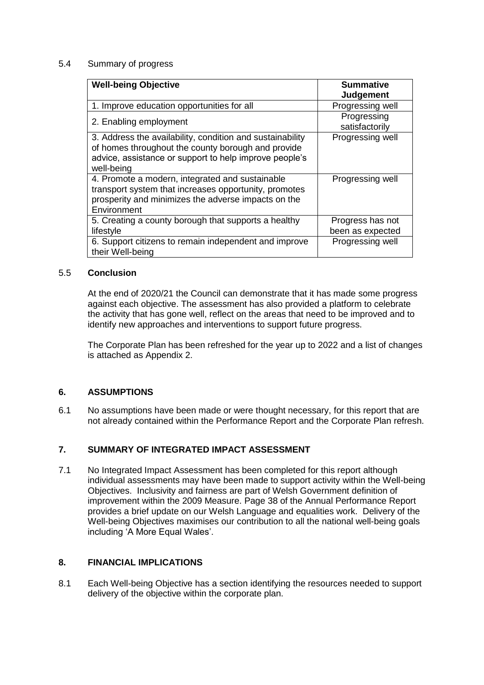#### 5.4 Summary of progress

| <b>Well-being Objective</b>                               | <b>Summative</b>              |
|-----------------------------------------------------------|-------------------------------|
|                                                           | <b>Judgement</b>              |
| 1. Improve education opportunities for all                | Progressing well              |
| 2. Enabling employment                                    | Progressing<br>satisfactorily |
| 3. Address the availability, condition and sustainability | Progressing well              |
| of homes throughout the county borough and provide        |                               |
| advice, assistance or support to help improve people's    |                               |
| well-being                                                |                               |
| 4. Promote a modern, integrated and sustainable           | Progressing well              |
| transport system that increases opportunity, promotes     |                               |
| prosperity and minimizes the adverse impacts on the       |                               |
| Environment                                               |                               |
| 5. Creating a county borough that supports a healthy      | Progress has not              |
| lifestyle                                                 | been as expected              |
| 6. Support citizens to remain independent and improve     | Progressing well              |
| their Well-being                                          |                               |

#### 5.5 **Conclusion**

At the end of 2020/21 the Council can demonstrate that it has made some progress against each objective. The assessment has also provided a platform to celebrate the activity that has gone well, reflect on the areas that need to be improved and to identify new approaches and interventions to support future progress.

The Corporate Plan has been refreshed for the year up to 2022 and a list of changes is attached as Appendix 2.

#### **6. ASSUMPTIONS**

6.1 No assumptions have been made or were thought necessary, for this report that are not already contained within the Performance Report and the Corporate Plan refresh.

#### **7. SUMMARY OF INTEGRATED IMPACT ASSESSMENT**

7.1 No Integrated Impact Assessment has been completed for this report although individual assessments may have been made to support activity within the Well-being Objectives. Inclusivity and fairness are part of Welsh Government definition of improvement within the 2009 Measure. Page 38 of the Annual Performance Report provides a brief update on our Welsh Language and equalities work. Delivery of the Well-being Objectives maximises our contribution to all the national well-being goals including 'A More Equal Wales'.

#### **8. FINANCIAL IMPLICATIONS**

8.1 Each Well-being Objective has a section identifying the resources needed to support delivery of the objective within the corporate plan.